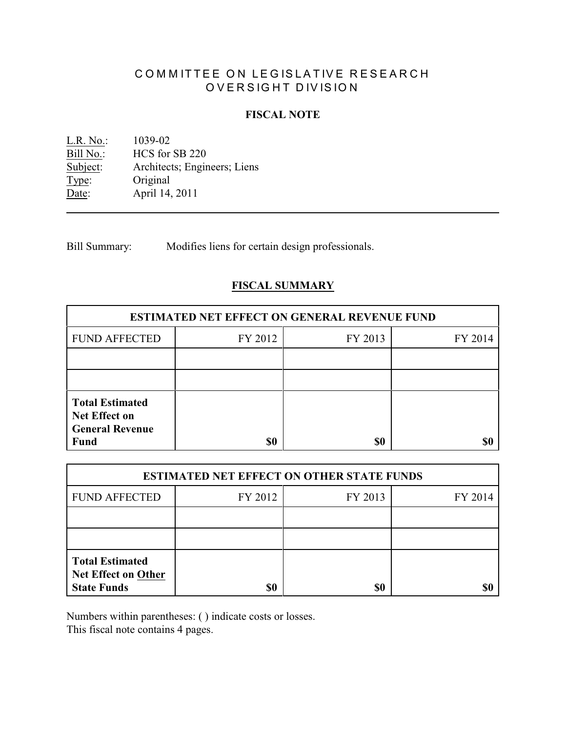# COMMITTEE ON LEGISLATIVE RESEARCH OVERSIGHT DIVISION

# **FISCAL NOTE**

<u>L.R. No.</u>: 1039-02<br>Bill No.: HCS for Bill No.: HCS for SB 220<br>Subject: Architects; Engine Architects; Engineers; Liens Type: Original Date: April 14, 2011

Bill Summary: Modifies liens for certain design professionals.

# **FISCAL SUMMARY**

| <b>ESTIMATED NET EFFECT ON GENERAL REVENUE FUND</b>                                     |         |         |         |  |
|-----------------------------------------------------------------------------------------|---------|---------|---------|--|
| <b>FUND AFFECTED</b>                                                                    | FY 2012 | FY 2013 | FY 2014 |  |
|                                                                                         |         |         |         |  |
|                                                                                         |         |         |         |  |
| <b>Total Estimated</b><br><b>Net Effect on</b><br><b>General Revenue</b><br><b>Fund</b> | \$0     | \$0     |         |  |

| <b>ESTIMATED NET EFFECT ON OTHER STATE FUNDS</b>                           |         |         |         |  |
|----------------------------------------------------------------------------|---------|---------|---------|--|
| <b>FUND AFFECTED</b>                                                       | FY 2012 | FY 2013 | FY 2014 |  |
|                                                                            |         |         |         |  |
|                                                                            |         |         |         |  |
| <b>Total Estimated</b><br><b>Net Effect on Other</b><br><b>State Funds</b> | \$0     | \$0     |         |  |

Numbers within parentheses: ( ) indicate costs or losses.

This fiscal note contains 4 pages.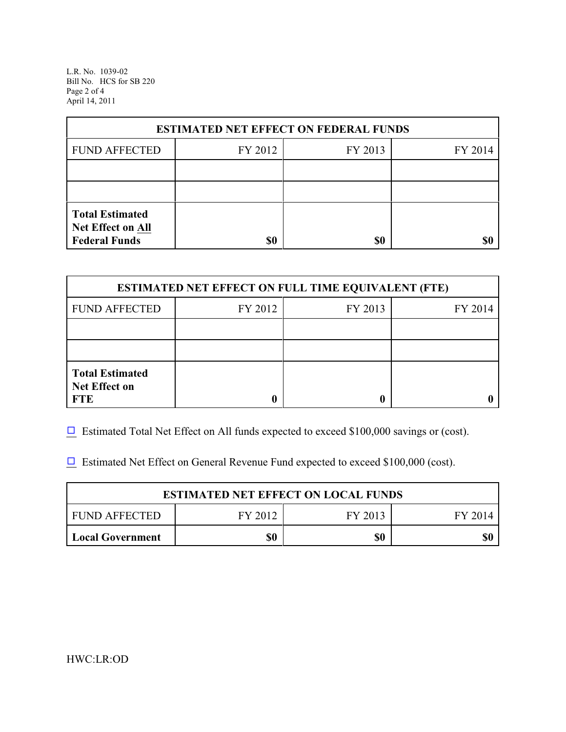L.R. No. 1039-02 Bill No. HCS for SB 220 Page 2 of 4 April 14, 2011

| <b>ESTIMATED NET EFFECT ON FEDERAL FUNDS</b>                        |         |         |         |  |
|---------------------------------------------------------------------|---------|---------|---------|--|
| <b>FUND AFFECTED</b>                                                | FY 2012 | FY 2013 | FY 2014 |  |
|                                                                     |         |         |         |  |
|                                                                     |         |         |         |  |
| <b>Total Estimated</b><br>Net Effect on All<br><b>Federal Funds</b> | \$0     | \$0     |         |  |

| <b>ESTIMATED NET EFFECT ON FULL TIME EQUIVALENT (FTE)</b>    |         |         |         |  |
|--------------------------------------------------------------|---------|---------|---------|--|
| <b>FUND AFFECTED</b>                                         | FY 2012 | FY 2013 | FY 2014 |  |
|                                                              |         |         |         |  |
|                                                              |         |         |         |  |
| <b>Total Estimated</b><br><b>Net Effect on</b><br><b>FTE</b> |         |         |         |  |

 $\Box$  Estimated Total Net Effect on All funds expected to exceed \$100,000 savings or (cost).

 $\Box$  Estimated Net Effect on General Revenue Fund expected to exceed \$100,000 (cost).

| <b>ESTIMATED NET EFFECT ON LOCAL FUNDS</b> |         |         |         |
|--------------------------------------------|---------|---------|---------|
| <b>FUND AFFECTED</b>                       | FY 2012 | FY 2013 | FY 2014 |
| <b>Local Government</b>                    | \$0     | \$0     |         |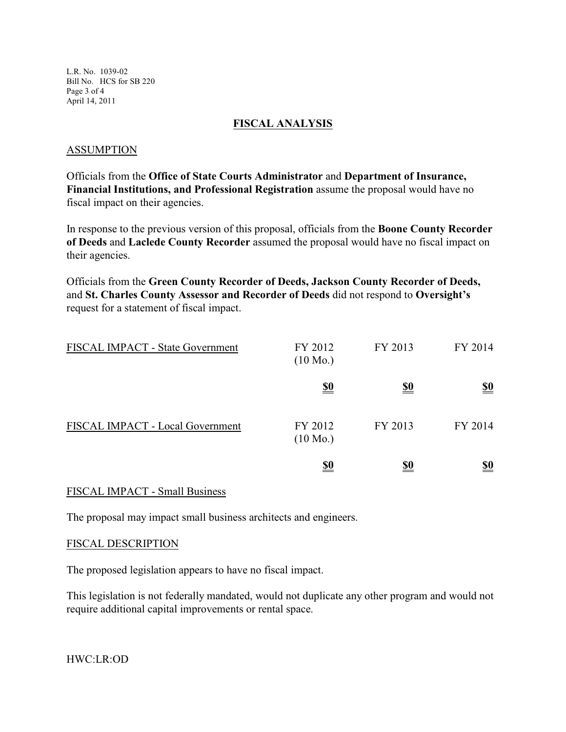L.R. No. 1039-02 Bill No. HCS for SB 220 Page 3 of 4 April 14, 2011

## **FISCAL ANALYSIS**

#### ASSUMPTION

Officials from the **Office of State Courts Administrator** and **Department of Insurance, Financial Institutions, and Professional Registration** assume the proposal would have no fiscal impact on their agencies.

In response to the previous version of this proposal, officials from the **Boone County Recorder of Deeds** and **Laclede County Recorder** assumed the proposal would have no fiscal impact on their agencies.

Officials from the **Green County Recorder of Deeds, Jackson County Recorder of Deeds,** and **St. Charles County Assessor and Recorder of Deeds** did not respond to **Oversight's** request for a statement of fiscal impact.

| FISCAL IMPACT - State Government | FY 2012<br>$(10 \text{ Mo.})$ | FY 2013    | FY 2014                       |
|----------------------------------|-------------------------------|------------|-------------------------------|
|                                  | <u>\$0</u>                    | <u>\$0</u> | $\underline{\underline{\$0}}$ |
| FISCAL IMPACT - Local Government | FY 2012<br>$(10 \text{ Mo.})$ | FY 2013    | FY 2014                       |
|                                  | <u>\$0</u>                    | <u>\$0</u> | $\underline{\underline{\$0}}$ |

## FISCAL IMPACT - Small Business

The proposal may impact small business architects and engineers.

#### FISCAL DESCRIPTION

The proposed legislation appears to have no fiscal impact.

This legislation is not federally mandated, would not duplicate any other program and would not require additional capital improvements or rental space.

HWC:LR:OD